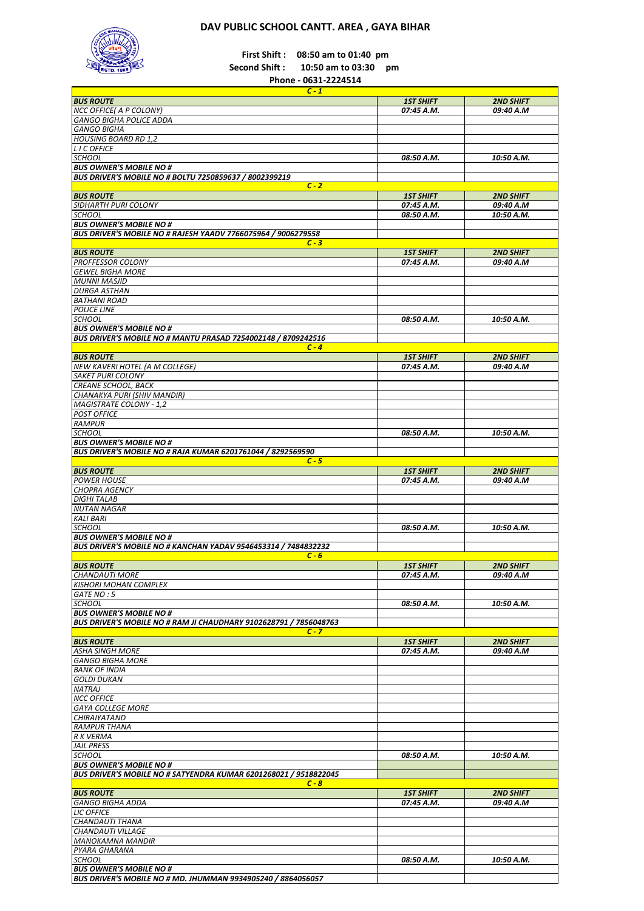## **DAV PUBLIC SCHOOL CANTT. AREA , GAYA BIHAR**



**First Shift : 08:50 am to 01:40 pm**

**Second Shift : 10:50 am to 03:30 pm** 

**Phone - 0631-2224514**

| <b>BUS ROUTE</b>                                                         |                  |                  |
|--------------------------------------------------------------------------|------------------|------------------|
|                                                                          | <b>1ST SHIFT</b> | <b>2ND SHIFT</b> |
| NCC OFFICE( A P COLONY)                                                  | 07:45 A.M.       | 09:40 A.M        |
|                                                                          |                  |                  |
| <b>GANGO BIGHA POLICE ADDA</b>                                           |                  |                  |
| <b>GANGO BIGHA</b>                                                       |                  |                  |
| <b>HOUSING BOARD RD 1,2</b>                                              |                  |                  |
| <b>LICOFFICE</b>                                                         |                  |                  |
| <b>SCHOOL</b>                                                            | 08:50 A.M.       | 10:50 A.M.       |
|                                                                          |                  |                  |
| <b>BUS OWNER'S MOBILE NO #</b>                                           |                  |                  |
| BUS DRIVER'S MOBILE NO # BOLTU 7250859637 / 8002399219                   |                  |                  |
| $C - 2$                                                                  |                  |                  |
| <b>BUS ROUTE</b>                                                         | <b>1ST SHIFT</b> | <b>2ND SHIFT</b> |
| SIDHARTH PURI COLONY                                                     | 07:45 A.M.       | 09:40 A.M        |
| <b>SCHOOL</b>                                                            | 08:50 A.M.       | 10:50 A.M.       |
|                                                                          |                  |                  |
| <b>BUS OWNER'S MOBILE NO #</b>                                           |                  |                  |
| <b>BUS DRIVER'S MOBILE NO # RAJESH YAADV 7766075964 / 9006279558</b>     |                  |                  |
| $C - 3$                                                                  |                  |                  |
| <b>BUS ROUTE</b>                                                         | <b>1ST SHIFT</b> | <b>2ND SHIFT</b> |
| <b>PROFFESSOR COLONY</b>                                                 | 07:45 A.M.       | 09:40 A.M        |
|                                                                          |                  |                  |
| <b>GEWEL BIGHA MORE</b>                                                  |                  |                  |
| <b>MUNNI MASJID</b>                                                      |                  |                  |
| <b>DURGA ASTHAN</b>                                                      |                  |                  |
| <b>BATHANI ROAD</b>                                                      |                  |                  |
| <b>POLICE LINE</b>                                                       |                  |                  |
| <b>SCHOOL</b>                                                            | 08:50 A.M.       |                  |
|                                                                          |                  | 10:50 A.M.       |
| <b>BUS OWNER'S MOBILE NO #</b>                                           |                  |                  |
| BUS DRIVER'S MOBILE NO # MANTU PRASAD 7254002148 / 8709242516            |                  |                  |
| $C - 4$                                                                  |                  |                  |
| <b>BUS ROUTE</b>                                                         | <b>1ST SHIFT</b> | <b>2ND SHIFT</b> |
| <b>NEW KAVERI HOTEL (A M COLLEGE)</b>                                    | 07:45 A.M.       | 09:40 A.M        |
| <b>SAKET PURI COLONY</b>                                                 |                  |                  |
|                                                                          |                  |                  |
| <b>CREANE SCHOOL, BACK</b>                                               |                  |                  |
| CHANAKYA PURI (SHIV MANDIR)                                              |                  |                  |
| <b>MAGISTRATE COLONY - 1,2</b>                                           |                  |                  |
| <b>POST OFFICE</b>                                                       |                  |                  |
|                                                                          |                  |                  |
| <b>RAMPUR</b>                                                            |                  |                  |
| <b>SCHOOL</b>                                                            | 08:50 A.M.       | 10:50 A.M.       |
| <b>BUS OWNER'S MOBILE NO #</b>                                           |                  |                  |
| BUS DRIVER'S MOBILE NO # RAJA KUMAR 6201761044 / 8292569590              |                  |                  |
| $C - 5$                                                                  |                  |                  |
| <b>BUS ROUTE</b>                                                         | <b>1ST SHIFT</b> | <b>2ND SHIFT</b> |
|                                                                          |                  |                  |
| <b>POWER HOUSE</b>                                                       | 07:45 A.M.       | 09:40 A.M        |
| <b>CHOPRA AGENCY</b>                                                     |                  |                  |
| <b>DIGHI TALAB</b>                                                       |                  |                  |
| <b>NUTAN NAGAR</b>                                                       |                  |                  |
| <b>KALI BARI</b>                                                         |                  |                  |
|                                                                          |                  |                  |
| <b>SCHOOL</b>                                                            | 08:50 A.M.       | 10:50 A.M.       |
| <b>BUS OWNER'S MOBILE NO #</b>                                           |                  |                  |
| BUS DRIVER'S MOBILE NO # KANCHAN YADAV 9546453314 / 7484832232           |                  |                  |
| $C - 6$                                                                  |                  |                  |
| <b>BUS ROUTE</b>                                                         | <b>1ST SHIFT</b> | <b>2ND SHIFT</b> |
| <b>CHANDAUTI MORE</b>                                                    | 07:45 A.M.       | 09:40 A.M        |
| <b>KISHORI MOHAN COMPLEX</b>                                             |                  |                  |
|                                                                          |                  |                  |
| GATE NO: 5                                                               |                  |                  |
| <b>SCHOOL</b>                                                            | 08:50 A.M.       | 10:50 A.M.       |
| <b>BUS OWNER'S MOBILE NO #</b>                                           |                  |                  |
| <b>BUS DRIVER'S MOBILE NO # RAM JI CHAUDHARY 9102628791 / 7856048763</b> |                  |                  |
| $C - 7$                                                                  |                  |                  |
|                                                                          |                  |                  |
| <b>BUS ROUTE</b>                                                         | <b>1ST SHIFT</b> | <b>2ND SHIFT</b> |
|                                                                          |                  | 09:40 A.M        |
| <b>ASHA SINGH MORE</b>                                                   | 07:45 A.M.       |                  |
| <b>GANGO BIGHA MORE</b>                                                  |                  |                  |
| <b>BANK OF INDIA</b>                                                     |                  |                  |
|                                                                          |                  |                  |
| <b>GOLDI DUKAN</b>                                                       |                  |                  |
| <b>NATRAJ</b>                                                            |                  |                  |
| <b>NCC OFFICE</b>                                                        |                  |                  |
| <b>GAYA COLLEGE MORE</b>                                                 |                  |                  |
| <b>CHIRAIYATAND</b>                                                      |                  |                  |
|                                                                          |                  |                  |
| <b>RAMPUR THANA</b>                                                      |                  |                  |
| <b>R K VERMA</b>                                                         |                  |                  |
| <b>JAIL PRESS</b>                                                        |                  |                  |
| <b>SCHOOL</b>                                                            | 08:50 A.M.       | 10:50 A.M.       |
| <b>BUS OWNER'S MOBILE NO #</b>                                           |                  |                  |
| BUS DRIVER'S MOBILE NO # SATYENDRA KUMAR 6201268021 / 9518822045         |                  |                  |
| $C - 8$                                                                  |                  |                  |
|                                                                          |                  |                  |
| <b>BUS ROUTE</b>                                                         | <b>1ST SHIFT</b> | <b>2ND SHIFT</b> |
| <b>GANGO BIGHA ADDA</b>                                                  | 07:45 A.M.       | 09:40 A.M        |
| <b>LIC OFFICE</b>                                                        |                  |                  |
| CHANDAUTI THANA                                                          |                  |                  |
|                                                                          |                  |                  |
| CHANDAUTI VILLAGE                                                        |                  |                  |
| <b>MANOKAMNA MANDIR</b>                                                  |                  |                  |
| PYARA GHARANA                                                            |                  |                  |
| <b>SCHOOL</b>                                                            | 08:50 A.M.       | 10:50 A.M.       |
| <b>BUS OWNER'S MOBILE NO #</b>                                           |                  |                  |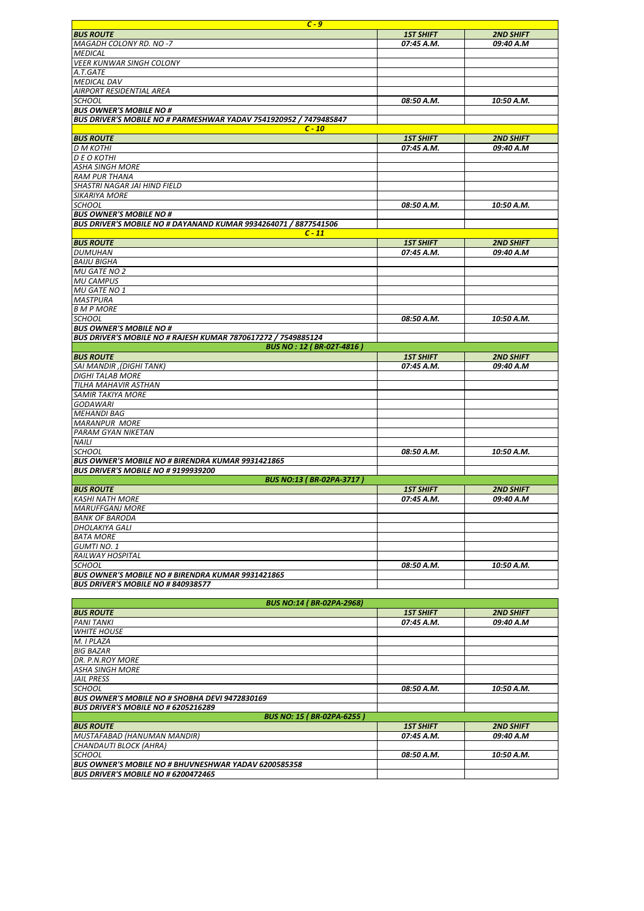|                                                                   | $C - 9$                            |                  |
|-------------------------------------------------------------------|------------------------------------|------------------|
| <b>BUS ROUTE</b>                                                  | <b>1ST SHIFT</b>                   | <b>2ND SHIFT</b> |
| MAGADH COLONY RD. NO-7                                            | 07:45 A.M.                         | 09:40 A.M        |
| <b>MEDICAL</b>                                                    |                                    |                  |
| <b>VEER KUNWAR SINGH COLONY</b>                                   |                                    |                  |
| A.T.GATE                                                          |                                    |                  |
| <b>MEDICAL DAV</b>                                                |                                    |                  |
| <b>AIRPORT RESIDENTIAL AREA</b>                                   |                                    |                  |
| <b>SCHOOL</b>                                                     | 08:50 A.M.                         | 10:50 A.M.       |
| <b>BUS OWNER'S MOBILE NO #</b>                                    |                                    |                  |
| BUS DRIVER'S MOBILE NO # PARMESHWAR YADAV 7541920952 / 7479485847 |                                    |                  |
|                                                                   | $C - 10$                           |                  |
| <b>BUS ROUTE</b>                                                  | <b>1ST SHIFT</b>                   | <b>2ND SHIFT</b> |
| <b>D M KOTHI</b>                                                  | 07:45 A.M.                         | 09:40 A.M        |
| <b>DE O KOTHI</b>                                                 |                                    |                  |
| <b>ASHA SINGH MORE</b>                                            |                                    |                  |
| <b>RAM PUR THANA</b>                                              |                                    |                  |
| SHASTRI NAGAR JAI HIND FIELD                                      |                                    |                  |
| <b>SIKARIYA MORE</b>                                              |                                    |                  |
|                                                                   |                                    |                  |
| <b>SCHOOL</b>                                                     | 08:50 A.M.                         | 10:50 A.M.       |
| <b>BUS OWNER'S MOBILE NO #</b>                                    |                                    |                  |
| BUS DRIVER'S MOBILE NO # DAYANAND KUMAR 9934264071 / 8877541506   |                                    |                  |
|                                                                   | $C - 11$                           |                  |
| <b>BUS ROUTE</b>                                                  | <b>1ST SHIFT</b>                   | <b>2ND SHIFT</b> |
| <b>DUMUHAN</b>                                                    | 07:45 A.M.                         | 09:40 A.M        |
| <b>BAIJU BIGHA</b>                                                |                                    |                  |
| MU GATE NO 2                                                      |                                    |                  |
| <b>MU CAMPUS</b>                                                  |                                    |                  |
| MU GATE NO 1                                                      |                                    |                  |
| <b>MASTPURA</b>                                                   |                                    |                  |
| <b>B M P MORE</b>                                                 |                                    |                  |
| <b>SCHOOL</b>                                                     | 08:50 A.M.                         | 10:50 A.M.       |
| <b>BUS OWNER'S MOBILE NO #</b>                                    |                                    |                  |
| BUS DRIVER'S MOBILE NO # RAJESH KUMAR 7870617272 / 7549885124     |                                    |                  |
|                                                                   | <b>BUS NO : 12 ( BR-02T-4816 )</b> |                  |
| <b>BUS ROUTE</b>                                                  | <b>1ST SHIFT</b>                   | <b>2ND SHIFT</b> |
| (DIGHI TANK), SAI MANDIR                                          | 07:45 A.M.                         | 09:40 A.M        |
| <b>DIGHI TALAB MORE</b>                                           |                                    |                  |
| TILHA MAHAVIR ASTHAN                                              |                                    |                  |
| <b>SAMIR TAKIYA MORE</b>                                          |                                    |                  |
| <b>GODAWARI</b>                                                   |                                    |                  |
| <b>MEHANDI BAG</b>                                                |                                    |                  |
| <b>MARANPUR MORE</b>                                              |                                    |                  |
| PARAM GYAN NIKETAN                                                |                                    |                  |
| <b>NAILI</b>                                                      |                                    |                  |
| <b>SCHOOL</b>                                                     | 08:50 A.M.                         | 10:50 A.M.       |
| <b>BUS OWNER'S MOBILE NO # BIRENDRA KUMAR 9931421865</b>          |                                    |                  |
| BUS DRIVER'S MOBILE NO # 9199939200                               |                                    |                  |
|                                                                   | <b>BUS NO:13 (BR-02PA-3717)</b>    |                  |
| <b>BUS ROUTE</b>                                                  | <b>1ST SHIFT</b>                   | <b>2ND SHIFT</b> |
| <b>KASHI NATH MORE</b>                                            | 07:45 A.M.                         | 09:40 A.M        |
| <b>MARUFFGANJ MORE</b>                                            |                                    |                  |
| <b>BANK OF BARODA</b>                                             |                                    |                  |
| <b>DHOLAKIYA GALI</b>                                             |                                    |                  |
| <b>BATA MORE</b>                                                  |                                    |                  |
| <b>GUMTINO.1</b>                                                  |                                    |                  |
|                                                                   |                                    |                  |
| RAILWAY HOSPITAL                                                  |                                    |                  |
| <b>SCHOOL</b>                                                     | 08:50 A.M.                         | 10:50 A.M.       |
| BUS OWNER'S MOBILE NO # BIRENDRA KUMAR 9931421865                 |                                    |                  |
| <b>BUS DRIVER'S MOBILE NO # 840938577</b>                         |                                    |                  |
|                                                                   |                                    |                  |
|                                                                   | <b>BUS NO:14 (BR-02PA-2968)</b>    |                  |
| <b>BUS ROUTE</b>                                                  | <b>1ST SHIFT</b>                   | <b>2ND SHIFT</b> |
| <b>PANI TANKI</b>                                                 | 07:45 A.M.                         | 09:40 A.M        |
| <b>WHITE HOUSE</b>                                                |                                    |                  |
| M. I PLAZA                                                        |                                    |                  |
| <b>BIG BAZAR</b>                                                  |                                    |                  |
| DR. P.N.ROY MORE                                                  |                                    |                  |
| <b>ASHA SINGH MORE</b>                                            |                                    |                  |
| <b>JAIL PRESS</b>                                                 |                                    |                  |

| <b>ASHA SINGH MORE</b>                                      |                  |                  |
|-------------------------------------------------------------|------------------|------------------|
| <b>JAIL PRESS</b>                                           |                  |                  |
| <b>SCHOOL</b>                                               | 08:50 A.M.       | 10:50 A.M.       |
| <b>BUS OWNER'S MOBILE NO # SHOBHA DEVI 9472830169</b>       |                  |                  |
| <b>BUS DRIVER'S MOBILE NO # 6205216289</b>                  |                  |                  |
| <b>BUS NO: 15 (BR-02PA-6255)</b>                            |                  |                  |
| <b>BUS ROUTE</b>                                            | <b>1ST SHIFT</b> | <b>2ND SHIFT</b> |
| MUSTAFABAD (HANUMAN MANDIR)                                 | 07:45 A.M.       | 09:40 A.M        |
| CHANDAUTI BLOCK (AHRA)                                      |                  |                  |
| <b>SCHOOL</b>                                               | 08:50 A.M.       | 10:50 A.M.       |
| <b>BUS OWNER'S MOBILE NO # BHUVNESHWAR YADAV 6200585358</b> |                  |                  |
| <b>BUS DRIVER'S MOBILE NO # 6200472465</b>                  |                  |                  |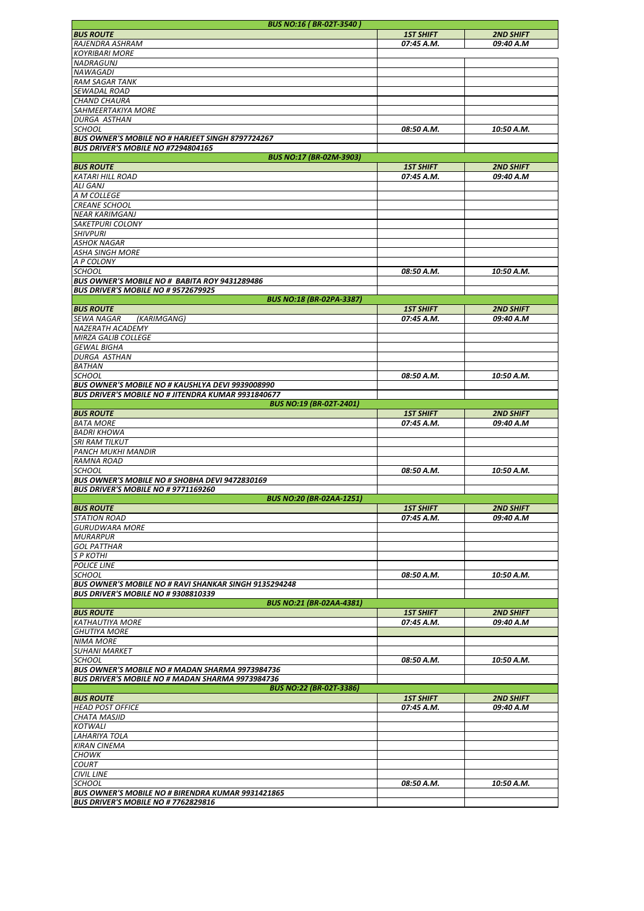|                                                              | <b>BUS NO:16 (BR-02T-3540)</b>  |                  |                  |
|--------------------------------------------------------------|---------------------------------|------------------|------------------|
| <b>BUS ROUTE</b>                                             |                                 | <b>1ST SHIFT</b> | <b>2ND SHIFT</b> |
| RAJENDRA ASHRAM                                              |                                 | 07:45 A.M.       | 09:40 A.M        |
|                                                              |                                 |                  |                  |
| <b>KOYRIBARI MORE</b>                                        |                                 |                  |                  |
| <b>NADRAGUNJ</b>                                             |                                 |                  |                  |
| NAWAGADI                                                     |                                 |                  |                  |
| <b>RAM SAGAR TANK</b>                                        |                                 |                  |                  |
| <b>SEWADAL ROAD</b>                                          |                                 |                  |                  |
|                                                              |                                 |                  |                  |
| <b>CHAND CHAURA</b>                                          |                                 |                  |                  |
| SAHMEERTAKIYA MORE                                           |                                 |                  |                  |
| <b>DURGA ASTHAN</b>                                          |                                 |                  |                  |
| <b>SCHOOL</b>                                                |                                 |                  | 10:50 A.M.       |
|                                                              |                                 | 08:50 A.M.       |                  |
| <b>BUS OWNER'S MOBILE NO # HARJEET SINGH 8797724267</b>      |                                 |                  |                  |
| BUS DRIVER'S MOBILE NO #7294804165                           |                                 |                  |                  |
|                                                              | <b>BUS NO:17 (BR-02M-3903)</b>  |                  |                  |
| <b>BUS ROUTE</b>                                             |                                 | <b>1ST SHIFT</b> | <b>2ND SHIFT</b> |
| <b>KATARI HILL ROAD</b>                                      |                                 | 07:45 A.M.       | 09:40 A.M        |
|                                                              |                                 |                  |                  |
| <b>ALI GANJ</b>                                              |                                 |                  |                  |
| A M COLLEGE                                                  |                                 |                  |                  |
| <b>CREANE SCHOOL</b>                                         |                                 |                  |                  |
| <b>NEAR KARIMGANJ</b>                                        |                                 |                  |                  |
|                                                              |                                 |                  |                  |
| <b>SAKETPURI COLONY</b>                                      |                                 |                  |                  |
| <b>SHIVPURI</b>                                              |                                 |                  |                  |
| <b>ASHOK NAGAR</b>                                           |                                 |                  |                  |
| <b>ASHA SINGH MORE</b>                                       |                                 |                  |                  |
|                                                              |                                 |                  |                  |
| A P COLONY                                                   |                                 |                  |                  |
| <b>SCHOOL</b>                                                |                                 | 08:50 A.M.       | 10:50 A.M.       |
| BUS OWNER'S MOBILE NO # BABITA ROY 9431289486                |                                 |                  |                  |
| <b>BUS DRIVER'S MOBILE NO # 9572679925</b>                   |                                 |                  |                  |
|                                                              | <b>BUS NO:18 (BR-02PA-3387)</b> |                  |                  |
|                                                              |                                 |                  |                  |
| <b>BUS ROUTE</b>                                             |                                 | <b>1ST SHIFT</b> | <b>2ND SHIFT</b> |
| SEWA NAGAR<br>(KARIMGANG)                                    |                                 | 07:45 A.M.       | 09:40 A.M        |
| <b>NAZERATH ACADEMY</b>                                      |                                 |                  |                  |
| <b>MIRZA GALIB COLLEGE</b>                                   |                                 |                  |                  |
|                                                              |                                 |                  |                  |
| <b>GEWAL BIGHA</b>                                           |                                 |                  |                  |
| <b>DURGA ASTHAN</b>                                          |                                 |                  |                  |
| <b>BATHAN</b>                                                |                                 |                  |                  |
| <b>SCHOOL</b>                                                |                                 | 08:50 A.M.       | 10:50 A.M.       |
|                                                              |                                 |                  |                  |
| <b>BUS OWNER'S MOBILE NO # KAUSHLYA DEVI 9939008990</b>      |                                 |                  |                  |
| <b>BUS DRIVER'S MOBILE NO # JITENDRA KUMAR 9931840677</b>    |                                 |                  |                  |
|                                                              | <b>BUS NO:19 (BR-02T-2401)</b>  |                  |                  |
| <b>BUS ROUTE</b>                                             |                                 | <b>1ST SHIFT</b> | <b>2ND SHIFT</b> |
| <b>BATA MORE</b>                                             |                                 | 07:45 A.M.       | 09:40 A.M        |
|                                                              |                                 |                  |                  |
| <b>BADRI KHOWA</b>                                           |                                 |                  |                  |
| <b>SRI RAM TILKUT</b>                                        |                                 |                  |                  |
| <b>PANCH MUKHI MANDIR</b>                                    |                                 |                  |                  |
| <b>RAMNA ROAD</b>                                            |                                 |                  |                  |
|                                                              |                                 |                  |                  |
| <b>SCHOOL</b>                                                |                                 | 08:50 A.M.       | 10:50 A.M.       |
| BUS OWNER'S MOBILE NO # SHOBHA DEVI 9472830169               |                                 |                  |                  |
| <b>BUS DRIVER'S MOBILE NO # 9771169260</b>                   |                                 |                  |                  |
|                                                              | <b>BUS NO:20 (BR-02AA-1251)</b> |                  |                  |
| <b>BUS ROUTE</b>                                             |                                 | <b>1ST SHIFT</b> | <b>2ND SHIFT</b> |
|                                                              |                                 |                  |                  |
| <b>STATION ROAD</b>                                          |                                 | 07:45 A.M.       | 09:40 A.M        |
| <b>GURUDWARA MORE</b>                                        |                                 |                  |                  |
| <b>MURARPUR</b>                                              |                                 |                  |                  |
| <b>GOL PATTHAR</b>                                           |                                 |                  |                  |
|                                                              |                                 |                  |                  |
| <b>SP KOTHI</b>                                              |                                 |                  |                  |
| <b>POLICE LINE</b>                                           |                                 |                  |                  |
| <b>SCHOOL</b>                                                |                                 | 08:50 A.M.       | 10:50 A.M.       |
| <b>BUS OWNER'S MOBILE NO # RAVI SHANKAR SINGH 9135294248</b> |                                 |                  |                  |
|                                                              |                                 |                  |                  |
| <b>BUS DRIVER'S MOBILE NO # 9308810339</b>                   |                                 |                  |                  |
|                                                              | <b>BUS NO:21 (BR-02AA-4381)</b> |                  |                  |
| <b>BUS ROUTE</b>                                             |                                 | <b>1ST SHIFT</b> | <b>2ND SHIFT</b> |
| <b>KATHAUTIYA MORE</b>                                       |                                 | 07:45 A.M.       | 09:40 A.M        |
|                                                              |                                 |                  |                  |
| <b>GHUTIYA MORE</b>                                          |                                 |                  |                  |
| <b>NIMA MORE</b>                                             |                                 |                  |                  |
| <b>SUHANI MARKET</b>                                         |                                 |                  |                  |
| <b>SCHOOL</b>                                                |                                 | 08:50 A.M.       | 10:50 A.M.       |
| BUS OWNER'S MOBILE NO # MADAN SHARMA 9973984736              |                                 |                  |                  |
|                                                              |                                 |                  |                  |
| BUS DRIVER'S MOBILE NO # MADAN SHARMA 9973984736             |                                 |                  |                  |
|                                                              | <b>BUS NO:22 (BR-02T-3386)</b>  |                  |                  |
| <b>BUS ROUTE</b>                                             |                                 | <b>1ST SHIFT</b> | <b>2ND SHIFT</b> |
|                                                              |                                 | 07:45 A.M.       | 09:40 A.M        |
| <b>HEAD POST OFFICE</b>                                      |                                 |                  |                  |
| <b>CHATA MASJID</b>                                          |                                 |                  |                  |
| <b>KOTWALI</b>                                               |                                 |                  |                  |
| LAHARIYA TOLA                                                |                                 |                  |                  |
| <b>KIRAN CINEMA</b>                                          |                                 |                  |                  |
|                                                              |                                 |                  |                  |
| <b>CHOWK</b>                                                 |                                 |                  |                  |
| <b>COURT</b>                                                 |                                 |                  |                  |
| <b>CIVIL LINE</b>                                            |                                 |                  |                  |
| <b>SCHOOL</b>                                                |                                 | 08:50 A.M.       | 10:50 A.M.       |
|                                                              |                                 |                  |                  |
| <b>BUS OWNER'S MOBILE NO # BIRENDRA KUMAR 9931421865</b>     |                                 |                  |                  |
| BUS DRIVER'S MOBILE NO # 7762829816                          |                                 |                  |                  |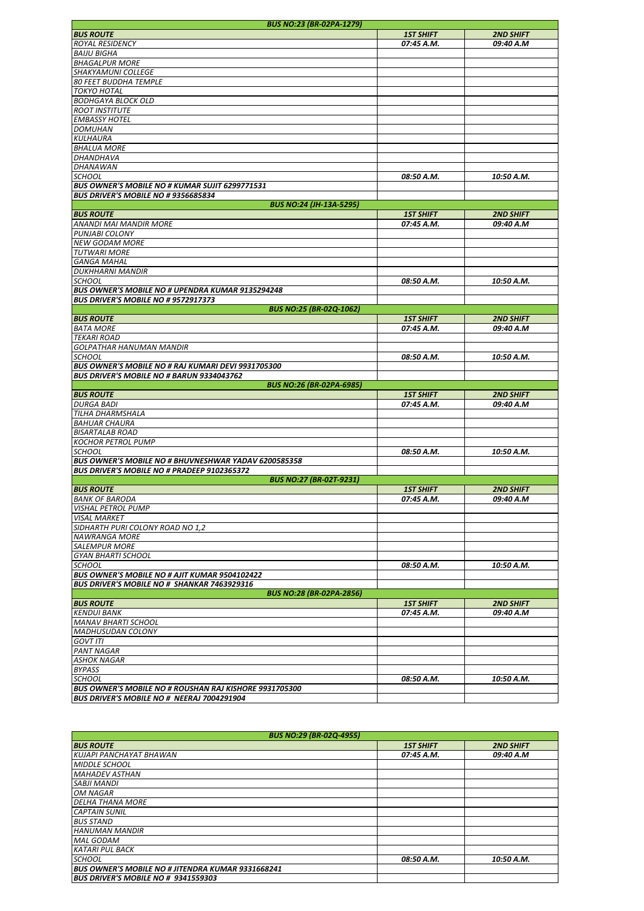| <b>BUS NO:23 (BR-02PA-1279)</b>                               |                  |                  |
|---------------------------------------------------------------|------------------|------------------|
| <b>BUS ROUTE</b>                                              | <b>1ST SHIFT</b> | <b>2ND SHIFT</b> |
| <b>ROYAL RESIDENCY</b>                                        | 07:45 A.M.       | 09:40 A.M        |
| <b>BAIJU BIGHA</b>                                            |                  |                  |
| <b>BHAGALPUR MORE</b>                                         |                  |                  |
| SHAKYAMUNI COLLEGE                                            |                  |                  |
| 80 FEET BUDDHA TEMPLE                                         |                  |                  |
| <b>TOKYO HOTAL</b>                                            |                  |                  |
|                                                               |                  |                  |
| <b>BODHGAYA BLOCK OLD</b>                                     |                  |                  |
| <b>ROOT INSTITUTE</b>                                         |                  |                  |
| <b>EMBASSY HOTEL</b>                                          |                  |                  |
| <b>DOMUHAN</b>                                                |                  |                  |
| KULHAURA                                                      |                  |                  |
| <b>BHALUA MORE</b>                                            |                  |                  |
| DHANDHAVA                                                     |                  |                  |
| DHANAWAN                                                      |                  |                  |
| <b>SCHOOL</b>                                                 | 08:50 A.M.       | 10:50 A.M.       |
| BUS OWNER'S MOBILE NO # KUMAR SUJIT 6299771531                |                  |                  |
| <b>BUS DRIVER'S MOBILE NO # 9356685834</b>                    |                  |                  |
| <b>BUS NO:24 (JH-13A-5295)</b>                                |                  |                  |
|                                                               |                  |                  |
| <b>BUS ROUTE</b>                                              | <b>1ST SHIFT</b> | <b>2ND SHIFT</b> |
| ANANDI MAI MANDIR MORE                                        | 07:45 A.M.       | 09:40 A.M        |
| PUNJABI COLONY                                                |                  |                  |
| <b>NEW GODAM MORE</b>                                         |                  |                  |
| <b>TUTWARI MORE</b>                                           |                  |                  |
| <b>GANGA MAHAL</b>                                            |                  |                  |
| <b>DUKHHARNI MANDIR</b>                                       |                  |                  |
| SCHOOL                                                        | 08:50 A.M.       | 10:50 A.M.       |
| BUS OWNER'S MOBILE NO # UPENDRA KUMAR 9135294248              |                  |                  |
| <b>BUS DRIVER'S MOBILE NO # 9572917373</b>                    |                  |                  |
| <b>BUS NO:25 (BR-02Q-1062)</b>                                |                  |                  |
| <b>BUS ROUTE</b>                                              | <b>1ST SHIFT</b> | <b>2ND SHIFT</b> |
| <b>BATA MORE</b>                                              | 07:45 A.M.       | 09:40 A.M        |
|                                                               |                  |                  |
| <b>TEKARI ROAD</b>                                            |                  |                  |
| <b>GOLPATHAR HANUMAN MANDIR</b>                               |                  |                  |
| SCHOOL                                                        | 08:50 A.M.       | 10:50 A.M.       |
| BUS OWNER'S MOBILE NO # RAJ KUMARI DEVI 9931705300            |                  |                  |
| <b>BUS DRIVER'S MOBILE NO # BARUN 9334043762</b>              |                  |                  |
| <b>BUS NO:26 (BR-02PA-6985)</b>                               |                  |                  |
| <b>BUS ROUTE</b>                                              | <b>1ST SHIFT</b> | <b>2ND SHIFT</b> |
| <b>DURGA BADI</b>                                             | 07:45 A.M.       | 09:40 A.M        |
| TILHA DHARMSHALA                                              |                  |                  |
| <b>BAHUAR CHAURA</b>                                          |                  |                  |
| <b>BISARTALAB ROAD</b>                                        |                  |                  |
| <b>KOCHOR PETROL PUMP</b>                                     |                  |                  |
|                                                               |                  |                  |
| <b>SCHOOL</b>                                                 | 08:50 A.M.       | 10:50 A.M.       |
| <b>BUS OWNER'S MOBILE NO # BHUVNESHWAR YADAV 6200585358</b>   |                  |                  |
| <b>BUS DRIVER'S MOBILE NO # PRADEEP 9102365372</b>            |                  |                  |
| <b>BUS NO:27 (BR-02T-9231)</b>                                |                  |                  |
| <b>BUS ROUTE</b>                                              | <b>1ST SHIFT</b> | <b>2ND SHIFT</b> |
| <b>BANK OF BARODA</b>                                         | 07:45 A.M.       | 09:40 A.M        |
| VISHAL PETROL PUMP                                            |                  |                  |
| <b>VISAL MARKET</b>                                           |                  |                  |
| SIDHARTH PURI COLONY ROAD NO 1,2                              |                  |                  |
| <b>NAWRANGA MORE</b>                                          |                  |                  |
| <b>SALEMPUR MORE</b>                                          |                  |                  |
|                                                               |                  |                  |
| <b>GYAN BHARTI SCHOOL</b>                                     |                  |                  |
| <b>SCHOOL</b>                                                 | 08:50 A.M.       | 10:50 A.M.       |
| <b>BUS OWNER'S MOBILE NO # AJIT KUMAR 9504102422</b>          |                  |                  |
| <b>BUS DRIVER'S MOBILE NO # SHANKAR 7463929316</b>            |                  |                  |
| <b>BUS NO:28 (BR-02PA-2856)</b>                               |                  |                  |
| <b>BUS ROUTE</b>                                              | <b>1ST SHIFT</b> | <b>2ND SHIFT</b> |
| <b>KENDUI BANK</b>                                            | 07:45 A.M.       | 09:40 A.M        |
| <b>MANAV BHARTI SCHOOL</b>                                    |                  |                  |
| <b>MADHUSUDAN COLONY</b>                                      |                  |                  |
| <b>GOVT ITI</b>                                               |                  |                  |
| <b>PANT NAGAR</b>                                             |                  |                  |
| <b>ASHOK NAGAR</b>                                            |                  |                  |
|                                                               |                  |                  |
| <b>BYPASS</b>                                                 |                  |                  |
| <b>SCHOOL</b>                                                 | 08:50 A.M.       | 10:50 A.M.       |
| <b>BUS OWNER'S MOBILE NO # ROUSHAN RAJ KISHORE 9931705300</b> |                  |                  |
| BUS DRIVER'S MOBILE NO # NEERAJ 7004291904                    |                  |                  |

| <b>BUS NO:29 (BR-02Q-4955)</b>                           |                  |                  |
|----------------------------------------------------------|------------------|------------------|
| <b>BUS ROUTE</b>                                         | <b>1ST SHIFT</b> | <b>2ND SHIFT</b> |
| KUJAPI PANCHAYAT BHAWAN                                  | 07:45 A.M.       | 09:40 A.M        |
| <b>MIDDLE SCHOOL</b>                                     |                  |                  |
| <b>MAHADEV ASTHAN</b>                                    |                  |                  |
| <b>SABJI MANDI</b>                                       |                  |                  |
| <b>OM NAGAR</b>                                          |                  |                  |
| <b>DELHA THANA MORE</b>                                  |                  |                  |
| <b>CAPTAIN SUNIL</b>                                     |                  |                  |
| <b>BUS STAND</b>                                         |                  |                  |
| <b>HANUMAN MANDIR</b>                                    |                  |                  |
| <b>MAL GODAM</b>                                         |                  |                  |
| <b>KATARI PUL BACK</b>                                   |                  |                  |
| <b>SCHOOL</b>                                            | 08:50 A.M.       | 10:50 A.M.       |
| <b>BUS OWNER'S MOBILE NO # JITENDRA KUMAR 9331668241</b> |                  |                  |
| <b>BUS DRIVER'S MOBILE NO # 9341559303</b>               |                  |                  |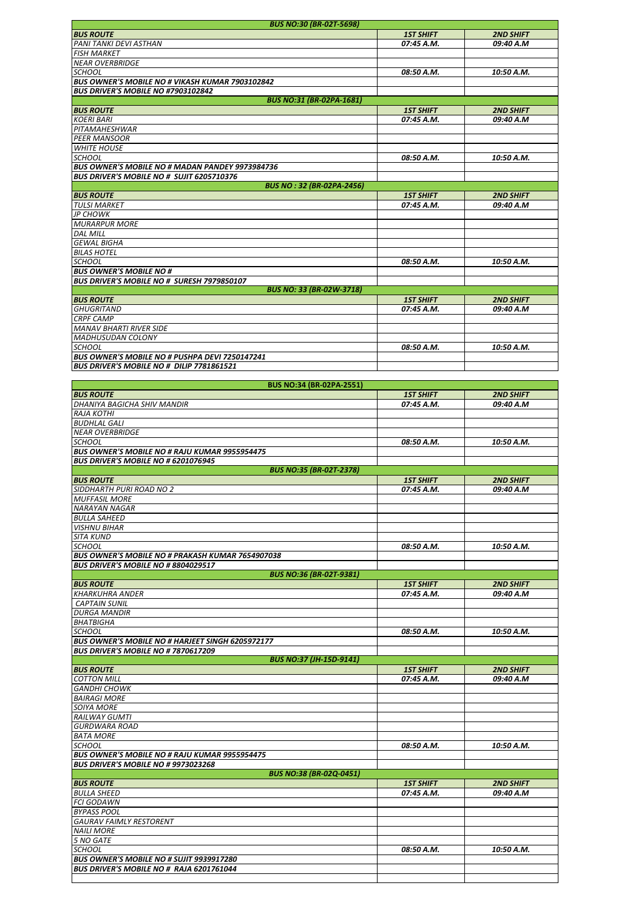| <b>BUS NO:30 (BR-02T-5698)</b>                                                              |                  |                  |
|---------------------------------------------------------------------------------------------|------------------|------------------|
| <b>BUS ROUTE</b>                                                                            | <b>1ST SHIFT</b> | <b>2ND SHIFT</b> |
| PANI TANKI DEVI ASTHAN                                                                      | 07:45 A.M.       | 09:40 A.M        |
| <b>FISH MARKET</b>                                                                          |                  |                  |
| <b>NEAR OVERBRIDGE</b>                                                                      |                  |                  |
| SCHOOL                                                                                      | 08:50 A.M.       | 10:50 A.M.       |
| BUS OWNER'S MOBILE NO # VIKASH KUMAR 7903102842                                             |                  |                  |
| <b>BUS DRIVER'S MOBILE NO #7903102842</b>                                                   |                  |                  |
|                                                                                             |                  |                  |
| <b>BUS NO:31 (BR-02PA-1681)</b>                                                             |                  |                  |
| <b>BUS ROUTE</b>                                                                            | <b>1ST SHIFT</b> | <b>2ND SHIFT</b> |
| <b>KOERI BARI</b>                                                                           | 07:45 A.M.       | 09:40 A.M        |
| PITAMAHESHWAR                                                                               |                  |                  |
| <b>PEER MANSOOR</b>                                                                         |                  |                  |
| <b>WHITE HOUSE</b>                                                                          |                  |                  |
| <b>SCHOOL</b>                                                                               | 08:50 A.M.       | 10:50 A.M.       |
| BUS OWNER'S MOBILE NO # MADAN PANDEY 9973984736                                             |                  |                  |
| <b>BUS DRIVER'S MOBILE NO # SUJIT 6205710376</b>                                            |                  |                  |
| <b>BUS NO: 32 (BR-02PA-2456)</b>                                                            |                  |                  |
| <b>BUS ROUTE</b>                                                                            | <b>1ST SHIFT</b> | <b>2ND SHIFT</b> |
| <b>TULSI MARKET</b>                                                                         | 07:45 A.M.       | 09:40 A.M        |
| JP CHOWK                                                                                    |                  |                  |
| <b>MURARPUR MORE</b>                                                                        |                  |                  |
| <b>DAL MILL</b>                                                                             |                  |                  |
| <b>GEWAL BIGHA</b>                                                                          |                  |                  |
|                                                                                             |                  |                  |
| <b>BILAS HOTEL</b>                                                                          |                  |                  |
| <b>SCHOOL</b>                                                                               | 08:50 A.M.       | 10:50 A.M.       |
| <b>BUS OWNER'S MOBILE NO #</b>                                                              |                  |                  |
| <b>BUS DRIVER'S MOBILE NO # SURESH 7979850107</b>                                           |                  |                  |
| <b>BUS NO: 33 (BR-02W-3718)</b>                                                             |                  |                  |
| <b>BUS ROUTE</b>                                                                            | <b>1ST SHIFT</b> | <b>2ND SHIFT</b> |
| <b>GHUGRITAND</b>                                                                           | 07:45 A.M.       | 09:40 A.M        |
| <b>CRPF CAMP</b>                                                                            |                  |                  |
| <b>MANAV BHARTI RIVER SIDE</b>                                                              |                  |                  |
| <b>MADHUSUDAN COLONY</b>                                                                    |                  |                  |
| <b>SCHOOL</b>                                                                               | 08:50 A.M.       | 10:50 A.M.       |
| BUS OWNER'S MOBILE NO # PUSHPA DEVI 7250147241                                              |                  |                  |
| BUS DRIVER'S MOBILE NO # DILIP 7781861521                                                   |                  |                  |
|                                                                                             |                  |                  |
| <b>BUS NO:34 (BR-02PA-2551)</b>                                                             |                  |                  |
| <b>BUS ROUTE</b>                                                                            | <b>1ST SHIFT</b> |                  |
|                                                                                             |                  | <b>2ND SHIFT</b> |
| DHANIYA BAGICHA SHIV MANDIR                                                                 | 07:45 A.M.       | 09:40 A.M        |
| <b>RAJA KOTHI</b>                                                                           |                  |                  |
| <b>BUDHLAL GALI</b>                                                                         |                  |                  |
| <b>NEAR OVERBRIDGE</b>                                                                      |                  |                  |
| SCHOOL                                                                                      | 08:50 A.M.       | 10:50 A.M.       |
| <b>BUS OWNER'S MOBILE NO # RAJU KUMAR 9955954475</b>                                        |                  |                  |
| <b>BUS DRIVER'S MOBILE NO # 6201076945</b>                                                  |                  |                  |
| <b>BUS NO:35 (BR-02T-2378)</b>                                                              |                  |                  |
| <b>BUS ROUTE</b>                                                                            | <b>1ST SHIFT</b> | <b>2ND SHIFT</b> |
| SIDDHARTH PURI ROAD NO 2                                                                    | 07:45 A.M.       | 09:40 A.M        |
| <b>MUFFASIL MORE</b>                                                                        |                  |                  |
| <b>NARAYAN NAGAR</b>                                                                        |                  |                  |
| <b>BULLA SAHEED</b>                                                                         |                  |                  |
| <b>VISHNU BIHAR</b>                                                                         |                  |                  |
| <b>SITA KUND</b>                                                                            |                  |                  |
| SCHOOL                                                                                      | 08:50 A.M.       | 10:50 A.M.       |
|                                                                                             |                  |                  |
| <b>BUS OWNER'S MOBILE NO # PRAKASH KUMAR 7654907038</b>                                     |                  |                  |
|                                                                                             |                  |                  |
| <b>BUS DRIVER'S MOBILE NO # 8804029517</b>                                                  |                  |                  |
| <b>BUS NO:36 (BR-02T-9381)</b>                                                              |                  |                  |
| <b>BUS ROUTE</b>                                                                            | <b>1ST SHIFT</b> | <b>2ND SHIFT</b> |
| <b>KHARKUHRA ANDER</b>                                                                      | 07:45 A.M.       | 09:40 A.M        |
| <b>CAPTAIN SUNIL</b>                                                                        |                  |                  |
| <b>DURGA MANDIR</b>                                                                         |                  |                  |
| <b>BHATBIGHA</b>                                                                            |                  |                  |
| <b>SCHOOL</b>                                                                               | 08:50 A.M.       | 10:50 A.M.       |
| <b>BUS OWNER'S MOBILE NO # HARJEET SINGH 6205972177</b>                                     |                  |                  |
| <b>BUS DRIVER'S MOBILE NO # 7870617209</b>                                                  |                  |                  |
| <b>BUS NO:37 (JH-15D-9141)</b>                                                              |                  |                  |
|                                                                                             |                  |                  |
| <b>BUS ROUTE</b>                                                                            | <b>1ST SHIFT</b> | <b>2ND SHIFT</b> |
| <b>COTTON MILL</b>                                                                          | 07:45 A.M.       | 09:40 A.M        |
| GANDHI CHOWK                                                                                |                  |                  |
| <b>BAIRAGI MORE</b>                                                                         |                  |                  |
| <b>SOIYA MORE</b>                                                                           |                  |                  |
| RAILWAY GUMTI                                                                               |                  |                  |
| <b>GURDWARA ROAD</b>                                                                        |                  |                  |
| <b>BATA MORE</b>                                                                            |                  |                  |
| SCHOOL                                                                                      | 08:50 A.M.       | 10:50 A.M.       |
| <b>BUS OWNER'S MOBILE NO # RAJU KUMAR 9955954475</b>                                        |                  |                  |
| <b>BUS DRIVER'S MOBILE NO # 9973023268</b>                                                  |                  |                  |
| <b>BUS NO:38 (BR-02Q-0451)</b>                                                              |                  |                  |
| <b>BUS ROUTE</b>                                                                            | <b>1ST SHIFT</b> | <b>2ND SHIFT</b> |
| <b>BULLA SHEED</b>                                                                          | 07:45 A.M.       | 09:40 A.M        |
| <b>FCI GODAWN</b>                                                                           |                  |                  |
| BYPASS POOL                                                                                 |                  |                  |
| <b>GAURAV FAIMLY RESTORENT</b>                                                              |                  |                  |
| <b>NAILI MORE</b>                                                                           |                  |                  |
| 5 NO GATE                                                                                   |                  |                  |
| <b>SCHOOL</b>                                                                               | 08:50 A.M.       | 10:50 A.M.       |
|                                                                                             |                  |                  |
| BUS OWNER'S MOBILE NO # SUJIT 9939917280<br><b>BUS DRIVER'S MOBILE NO # RAJA 6201761044</b> |                  |                  |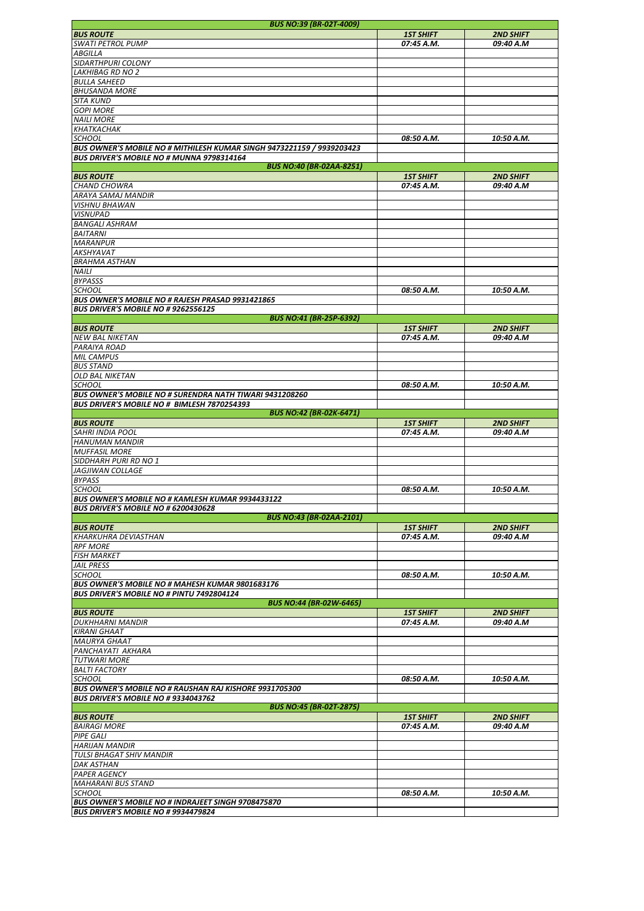| <b>BUS NO:39 (BR-02T-4009)</b>                                        |                  |                  |
|-----------------------------------------------------------------------|------------------|------------------|
| <b>BUS ROUTE</b>                                                      | <b>1ST SHIFT</b> | <b>2ND SHIFT</b> |
| <b>SWATI PETROL PUMP</b>                                              | 07:45 A.M.       | 09:40 A.M        |
| ABGILLA                                                               |                  |                  |
|                                                                       |                  |                  |
| SIDARTHPURI COLONY                                                    |                  |                  |
| <b>LAKHIBAG RD NO 2</b>                                               |                  |                  |
| <b>BULLA SAHEED</b>                                                   |                  |                  |
| <b>BHUSANDA MORE</b>                                                  |                  |                  |
| <b>SITA KUND</b>                                                      |                  |                  |
| <b>GOPI MORE</b>                                                      |                  |                  |
| <b>NAILI MORE</b>                                                     |                  |                  |
|                                                                       |                  |                  |
| <b>КНАТКАСНАК</b>                                                     |                  |                  |
| <b>SCHOOL</b>                                                         | 08:50 A.M.       | 10:50 A.M.       |
| BUS OWNER'S MOBILE NO # MITHILESH KUMAR SINGH 9473221159 / 9939203423 |                  |                  |
| BUS DRIVER'S MOBILE NO # MUNNA 9798314164                             |                  |                  |
| <b>BUS NO:40 (BR-02AA-8251)</b>                                       |                  |                  |
| <b>BUS ROUTE</b>                                                      | <b>1ST SHIFT</b> | <b>2ND SHIFT</b> |
| <b>CHAND CHOWRA</b>                                                   | 07:45 A.M.       | 09:40 A.M        |
|                                                                       |                  |                  |
| ARAYA SAMAJ MANDIR                                                    |                  |                  |
| <b>VISHNU BHAWAN</b>                                                  |                  |                  |
| <b>VISNUPAD</b>                                                       |                  |                  |
| <b>BANGALI ASHRAM</b>                                                 |                  |                  |
| <b>BAITARNI</b>                                                       |                  |                  |
| <b>MARANPUR</b>                                                       |                  |                  |
| <b>AKSHYAVAT</b>                                                      |                  |                  |
|                                                                       |                  |                  |
| <b>BRAHMA ASTHAN</b>                                                  |                  |                  |
| <b>NAILI</b>                                                          |                  |                  |
| <b>BYPASSS</b>                                                        |                  |                  |
| <b>SCHOOL</b>                                                         | 08:50 A.M.       | 10:50 A.M.       |
| BUS OWNER'S MOBILE NO # RAJESH PRASAD 9931421865                      |                  |                  |
| BUS DRIVER'S MOBILE NO # 9262556125                                   |                  |                  |
| <b>BUS NO:41 (BR-25P-6392)</b>                                        |                  |                  |
|                                                                       |                  |                  |
| <b>BUS ROUTE</b>                                                      | <b>1ST SHIFT</b> | <b>2ND SHIFT</b> |
| <b>NEW BAL NIKETAN</b>                                                | 07:45 A.M.       | 09:40 A.M        |
| PARAIYA ROAD                                                          |                  |                  |
| <b>MIL CAMPUS</b>                                                     |                  |                  |
| <b>BUS STAND</b>                                                      |                  |                  |
| <b>OLD BAL NIKETAN</b>                                                |                  |                  |
| SCHOOL                                                                | 08:50 A.M.       | 10:50 A.M.       |
|                                                                       |                  |                  |
| <b>BUS OWNER'S MOBILE NO # SURENDRA NATH TIWARI 9431208260</b>        |                  |                  |
| BUS DRIVER'S MOBILE NO # BIMLESH 7870254393                           |                  |                  |
| <b>BUS NO:42 (BR-02K-6471)</b>                                        |                  |                  |
| <b>BUS ROUTE</b>                                                      | <b>1ST SHIFT</b> | <b>2ND SHIFT</b> |
| <b>SAHRI INDIA POOL</b>                                               | 07:45 A.M.       | 09:40 A.M        |
| <b>HANUMAN MANDIR</b>                                                 |                  |                  |
| <b>MUFFASIL MORE</b>                                                  |                  |                  |
|                                                                       |                  |                  |
| SIDDHARH PURI RD NO 1                                                 |                  |                  |
| <b>JAGJIWAN COLLAGE</b>                                               |                  |                  |
| <b>BYPASS</b>                                                         |                  |                  |
| <b>SCHOOL</b>                                                         | 08:50 A.M.       | 10:50 A.M.       |
| <b>BUS OWNER'S MOBILE NO # KAMLESH KUMAR 9934433122</b>               |                  |                  |
| BUS DRIVER'S MOBILE NO # 6200430628                                   |                  |                  |
| <b>BUS NO:43 (BR-02AA-2101)</b>                                       |                  |                  |
|                                                                       |                  |                  |
| <b>BUS ROUTE</b>                                                      | <b>1ST SHIFT</b> | <b>2ND SHIFT</b> |
| <b>KHARKUHRA DEVIASTHAN</b>                                           | 07:45 A.M.       | 09:40 A.M        |
| <b>RPF MORE</b>                                                       |                  |                  |
| <b>FISH MARKET</b>                                                    |                  |                  |
| <b>JAIL PRESS</b>                                                     |                  |                  |
| <b>SCHOOL</b>                                                         | 08:50 A.M.       | 10:50 A.M.       |
| BUS OWNER'S MOBILE NO # MAHESH KUMAR 9801683176                       |                  |                  |
| BUS DRIVER'S MOBILE NO # PINTU 7492804124                             |                  |                  |
|                                                                       |                  |                  |
| <b>BUS NO:44 (BR-02W-6465)</b>                                        |                  |                  |
| <b>BUS ROUTE</b>                                                      | <b>1ST SHIFT</b> | <b>2ND SHIFT</b> |
| <b>DUKHHARNI MANDIR</b>                                               | 07:45 A.M.       | 09:40 A.M        |
| <b>KIRANI GHAAT</b>                                                   |                  |                  |
| <b>MAURYA GHAAT</b>                                                   |                  |                  |
| PANCHAYATI AKHARA                                                     |                  |                  |
| <b>TUTWARI MORE</b>                                                   |                  |                  |
| <b>BALTI FACTORY</b>                                                  |                  |                  |
|                                                                       |                  |                  |
| <b>SCHOOL</b>                                                         | 08:50 A.M.       | 10:50 A.M.       |
| <b>BUS OWNER'S MOBILE NO # RAUSHAN RAJ KISHORE 9931705300</b>         |                  |                  |
| BUS DRIVER'S MOBILE NO # 9334043762                                   |                  |                  |
| <b>BUS NO:45 (BR-02T-2875)</b>                                        |                  |                  |
| <b>BUS ROUTE</b>                                                      | <b>1ST SHIFT</b> | <b>2ND SHIFT</b> |
| <b>BAIRAGI MORE</b>                                                   | 07:45 A.M.       | 09:40 A.M        |
| <b>PIPE GALI</b>                                                      |                  |                  |
|                                                                       |                  |                  |
| <b>HARIJAN MANDIR</b>                                                 |                  |                  |
| <b>TULSI BHAGAT SHIV MANDIR</b>                                       |                  |                  |
| <b>DAK ASTHAN</b>                                                     |                  |                  |
| <b>PAPER AGENCY</b>                                                   |                  |                  |
| <b>MAHARANI BUS STAND</b>                                             |                  |                  |
| <b>SCHOOL</b>                                                         | 08:50 A.M.       | 10:50 A.M.       |
| <b>BUS OWNER'S MOBILE NO # INDRAJEET SINGH 9708475870</b>             |                  |                  |
|                                                                       |                  |                  |
| BUS DRIVER'S MOBILE NO # 9934479824                                   |                  |                  |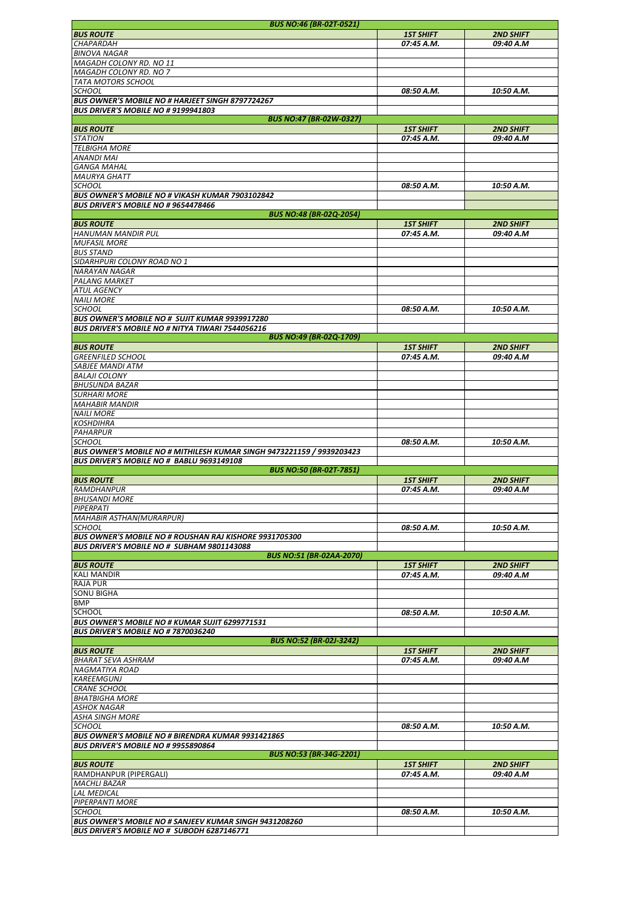|                                                                                                      | <b>BUS NO:46 (BR-02T-0521)</b>  |                  |                  |
|------------------------------------------------------------------------------------------------------|---------------------------------|------------------|------------------|
| <b>BUS ROUTE</b>                                                                                     |                                 | <b>1ST SHIFT</b> | <b>2ND SHIFT</b> |
| CHAPARDAH                                                                                            |                                 | 07:45 A.M.       | 09:40 A.M        |
| <b>BINOVA NAGAR</b>                                                                                  |                                 |                  |                  |
|                                                                                                      |                                 |                  |                  |
| MAGADH COLONY RD. NO 11                                                                              |                                 |                  |                  |
| MAGADH COLONY RD. NO 7                                                                               |                                 |                  |                  |
| TATA MOTORS SCHOOL                                                                                   |                                 |                  |                  |
| <b>SCHOOL</b>                                                                                        |                                 | 08:50 A.M.       | 10:50 A.M.       |
| <b>BUS OWNER'S MOBILE NO # HARJEET SINGH 8797724267</b>                                              |                                 |                  |                  |
|                                                                                                      |                                 |                  |                  |
| <b>BUS DRIVER'S MOBILE NO # 9199941803</b>                                                           |                                 |                  |                  |
|                                                                                                      | <b>BUS NO:47 (BR-02W-0327)</b>  |                  |                  |
| <b>BUS ROUTE</b>                                                                                     |                                 | <b>1ST SHIFT</b> | <b>2ND SHIFT</b> |
| <b>STATION</b>                                                                                       |                                 | 07:45 A.M.       | 09:40 A.M        |
| <b>TELBIGHA MORE</b>                                                                                 |                                 |                  |                  |
| ANANDI MAI                                                                                           |                                 |                  |                  |
| <b>GANGA MAHAL</b>                                                                                   |                                 |                  |                  |
|                                                                                                      |                                 |                  |                  |
| <b>MAURYA GHATT</b>                                                                                  |                                 |                  |                  |
| <b>SCHOOL</b>                                                                                        |                                 | 08:50 A.M.       | 10:50 A.M.       |
| <b>BUS OWNER'S MOBILE NO # VIKASH KUMAR 7903102842</b>                                               |                                 |                  |                  |
| <b>BUS DRIVER'S MOBILE NO # 9654478466</b>                                                           |                                 |                  |                  |
|                                                                                                      | <b>BUS NO:48 (BR-02Q-2054)</b>  |                  |                  |
| <b>BUS ROUTE</b>                                                                                     |                                 | <b>1ST SHIFT</b> | <b>2ND SHIFT</b> |
|                                                                                                      |                                 |                  |                  |
| <b>HANUMAN MANDIR PUL</b>                                                                            |                                 | 07:45 A.M.       | 09:40 A.M        |
| <b>MUFASIL MORE</b>                                                                                  |                                 |                  |                  |
| <b>BUS STAND</b>                                                                                     |                                 |                  |                  |
| SIDARHPURI COLONY ROAD NO 1                                                                          |                                 |                  |                  |
| <b>NARAYAN NAGAR</b>                                                                                 |                                 |                  |                  |
| PALANG MARKET                                                                                        |                                 |                  |                  |
|                                                                                                      |                                 |                  |                  |
| <b>ATUL AGENCY</b>                                                                                   |                                 |                  |                  |
| <b>NAILI MORE</b>                                                                                    |                                 |                  |                  |
| <b>SCHOOL</b>                                                                                        |                                 | 08:50 A.M.       | 10:50 A.M.       |
| <b>BUS OWNER'S MOBILE NO # SUJIT KUMAR 9939917280</b>                                                |                                 |                  |                  |
| <b>BUS DRIVER'S MOBILE NO # NITYA TIWARI 7544056216</b>                                              |                                 |                  |                  |
|                                                                                                      | <b>BUS NO:49 (BR-02Q-1709)</b>  |                  |                  |
|                                                                                                      |                                 |                  |                  |
| <b>BUS ROUTE</b>                                                                                     |                                 | <b>1ST SHIFT</b> | <b>2ND SHIFT</b> |
| <b>GREENFILED SCHOOL</b>                                                                             |                                 | 07:45 A.M.       | 09:40 A.M        |
| SABJEE MANDI ATM                                                                                     |                                 |                  |                  |
| <b>BALAJI COLONY</b>                                                                                 |                                 |                  |                  |
| <b>BHUSUNDA BAZAR</b>                                                                                |                                 |                  |                  |
|                                                                                                      |                                 |                  |                  |
| <b>SURHARI MORE</b>                                                                                  |                                 |                  |                  |
| <b>MAHABIR MANDIR</b>                                                                                |                                 |                  |                  |
| <b>NAILI MORE</b>                                                                                    |                                 |                  |                  |
| <b>KOSHDIHRA</b>                                                                                     |                                 |                  |                  |
| <b>PAHARPUR</b>                                                                                      |                                 |                  |                  |
| <b>SCHOOL</b>                                                                                        |                                 | 08:50 A.M.       | 10:50 A.M.       |
|                                                                                                      |                                 |                  |                  |
| BUS OWNER'S MOBILE NO # MITHILESH KUMAR SINGH 9473221159 / 9939203423                                |                                 |                  |                  |
| BUS DRIVER'S MOBILE NO # BABLU 9693149108                                                            |                                 |                  |                  |
|                                                                                                      | <b>BUS NO:50 (BR-02T-7851)</b>  |                  |                  |
| <b>BUS ROUTE</b>                                                                                     |                                 | <b>1ST SHIFT</b> | <b>2ND SHIFT</b> |
| RAMDHANPUR                                                                                           |                                 | 07:45 A.M.       | 09:40 A.M        |
| <b>BHUSANDI MORE</b>                                                                                 |                                 |                  |                  |
|                                                                                                      |                                 |                  |                  |
| PIPERPATI                                                                                            |                                 |                  |                  |
| <b>MAHABIR ASTHAN(MURARPUR)</b>                                                                      |                                 |                  |                  |
| <b>SCHOOL</b>                                                                                        |                                 | 08:50 A.M.       | 10:50 A.M.       |
| BUS OWNER'S MOBILE NO # ROUSHAN RAJ KISHORE 9931705300                                               |                                 |                  |                  |
| BUS DRIVER'S MOBILE NO # SUBHAM 9801143088                                                           |                                 |                  |                  |
|                                                                                                      |                                 |                  |                  |
|                                                                                                      |                                 |                  |                  |
|                                                                                                      | <b>BUS NO:51 (BR-02AA-2070)</b> |                  |                  |
| <b>BUS ROUTE</b>                                                                                     |                                 | <b>1ST SHIFT</b> | <b>2ND SHIFT</b> |
| <b>KALI MANDIR</b>                                                                                   |                                 | 07:45 A.M.       | 09:40 A.M        |
| <b>RAJA PUR</b>                                                                                      |                                 |                  |                  |
| <b>SONU BIGHA</b>                                                                                    |                                 |                  |                  |
|                                                                                                      |                                 |                  |                  |
| BMP                                                                                                  |                                 |                  |                  |
| SCHOOL                                                                                               |                                 | 08:50 A.M.       | 10:50 A.M.       |
| BUS OWNER'S MOBILE NO # KUMAR SUJIT 6299771531                                                       |                                 |                  |                  |
| BUS DRIVER'S MOBILE NO # 7870036240                                                                  |                                 |                  |                  |
|                                                                                                      | <b>BUS NO:52 (BR-02J-3242)</b>  |                  |                  |
|                                                                                                      |                                 |                  |                  |
| <b>BUS ROUTE</b>                                                                                     |                                 | <b>1ST SHIFT</b> | <b>2ND SHIFT</b> |
| <b>BHARAT SEVA ASHRAM</b>                                                                            |                                 | 07:45 A.M.       | 09:40 A.M        |
| <b>NAGMATIYA ROAD</b>                                                                                |                                 |                  |                  |
| <b>KAREEMGUNJ</b>                                                                                    |                                 |                  |                  |
| <b>CRANE SCHOOL</b>                                                                                  |                                 |                  |                  |
| <b>BHATBIGHA MORE</b>                                                                                |                                 |                  |                  |
|                                                                                                      |                                 |                  |                  |
| ASHOK NAGAR                                                                                          |                                 |                  |                  |
| ASHA SINGH MORE                                                                                      |                                 |                  |                  |
| SCHOOL                                                                                               |                                 | 08:50 A.M.       | 10:50 A.M.       |
| <b>BUS OWNER'S MOBILE NO # BIRENDRA KUMAR 9931421865</b>                                             |                                 |                  |                  |
| <b>BUS DRIVER'S MOBILE NO # 9955890864</b>                                                           |                                 |                  |                  |
|                                                                                                      | <b>BUS NO:53 (BR-34G-2201)</b>  |                  |                  |
| <b>BUS ROUTE</b>                                                                                     |                                 | <b>1ST SHIFT</b> | <b>2ND SHIFT</b> |
|                                                                                                      |                                 |                  |                  |
| RAMDHANPUR (PIPERGALI)                                                                               |                                 | 07:45 A.M.       | 09:40 A.M        |
| <b>MACHLI BAZAR</b>                                                                                  |                                 |                  |                  |
| <b>LAL MEDICAL</b>                                                                                   |                                 |                  |                  |
| PIPERPANTI MORE                                                                                      |                                 |                  |                  |
| <b>SCHOOL</b>                                                                                        |                                 | 08:50 A.M.       | 10:50 A.M.       |
|                                                                                                      |                                 |                  |                  |
| BUS OWNER'S MOBILE NO # SANJEEV KUMAR SINGH 9431208260<br>BUS DRIVER'S MOBILE NO # SUBODH 6287146771 |                                 |                  |                  |